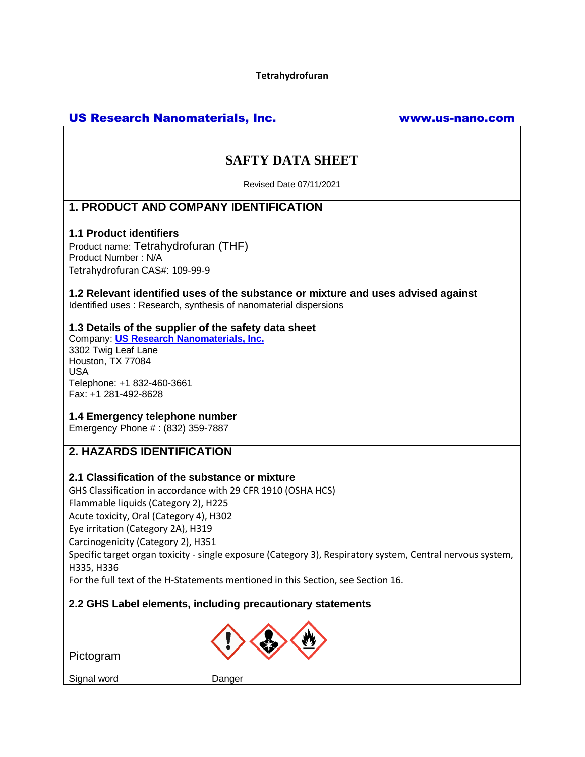**Tetrahydrofuran**

# US Research Nanomaterials, Inc. www.us-nano.com

# **SAFTY DATA SHEET**

Revised Date 07/11/2021

# **1. PRODUCT AND COMPANY IDENTIFICATION**

#### **1.1 Product identifiers**

Product name: Tetrahydrofuran (THF) Product Number : N/A Tetrahydrofuran CAS#: 109-99-9

**1.2 Relevant identified uses of the substance or mixture and uses advised against** Identified uses : Research, synthesis of nanomaterial dispersions

## **1.3 Details of the supplier of the safety data sheet**

Company: **[US Research Nanomaterials, Inc.](http://www.us-nano.com/)** 3302 Twig Leaf Lane Houston, TX 77084 USA Telephone: +1 832-460-3661 Fax: +1 281-492-8628

## **1.4 Emergency telephone number**

Emergency Phone # : (832) 359-7887

# **2. HAZARDS IDENTIFICATION**

#### **2.1 Classification of the substance or mixture**

GHS Classification in accordance with 29 CFR 1910 (OSHA HCS) Flammable liquids (Category 2), H225 Acute toxicity, Oral (Category 4), H302 Eye irritation (Category 2A), H319 Carcinogenicity (Category 2), H351 Specific target organ toxicity - single exposure (Category 3), Respiratory system, Central nervous system, H335, H336

For the full text of the H-Statements mentioned in this Section, see Section 16.

## **2.2 GHS Label elements, including precautionary statements**



Pictogram

Signal word Danger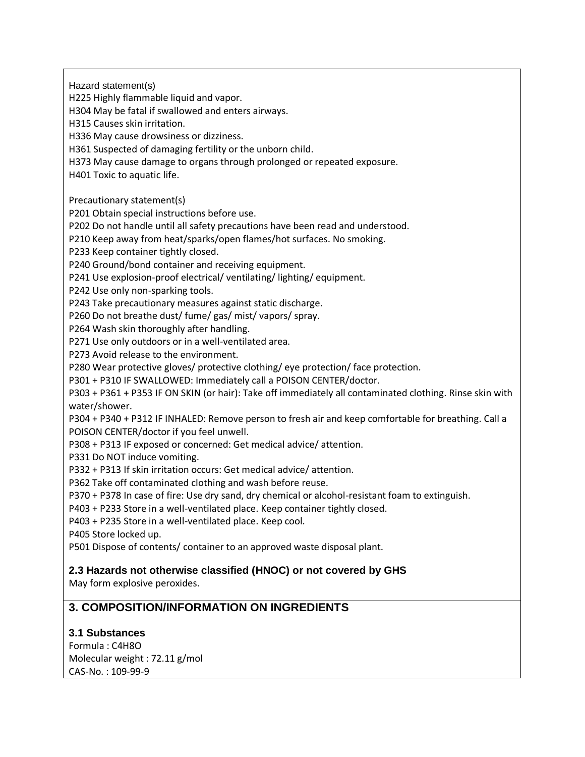Hazard statement(s) H225 Highly flammable liquid and vapor. H304 May be fatal if swallowed and enters airways. H315 Causes skin irritation. H336 May cause drowsiness or dizziness. H361 Suspected of damaging fertility or the unborn child. H373 May cause damage to organs through prolonged or repeated exposure. H401 Toxic to aquatic life. Precautionary statement(s) P201 Obtain special instructions before use. P202 Do not handle until all safety precautions have been read and understood. P210 Keep away from heat/sparks/open flames/hot surfaces. No smoking. P233 Keep container tightly closed. P240 Ground/bond container and receiving equipment. P241 Use explosion-proof electrical/ ventilating/ lighting/ equipment. P242 Use only non-sparking tools. P243 Take precautionary measures against static discharge. P260 Do not breathe dust/ fume/ gas/ mist/ vapors/ spray. P264 Wash skin thoroughly after handling. P271 Use only outdoors or in a well-ventilated area. P273 Avoid release to the environment. P280 Wear protective gloves/ protective clothing/ eye protection/ face protection. P301 + P310 IF SWALLOWED: Immediately call a POISON CENTER/doctor. P303 + P361 + P353 IF ON SKIN (or hair): Take off immediately all contaminated clothing. Rinse skin with water/shower. P304 + P340 + P312 IF INHALED: Remove person to fresh air and keep comfortable for breathing. Call a POISON CENTER/doctor if you feel unwell. P308 + P313 IF exposed or concerned: Get medical advice/ attention. P331 Do NOT induce vomiting. P332 + P313 If skin irritation occurs: Get medical advice/ attention. P362 Take off contaminated clothing and wash before reuse. P370 + P378 In case of fire: Use dry sand, dry chemical or alcohol-resistant foam to extinguish. P403 + P233 Store in a well-ventilated place. Keep container tightly closed. P403 + P235 Store in a well-ventilated place. Keep cool. P405 Store locked up. P501 Dispose of contents/ container to an approved waste disposal plant. **2.3 Hazards not otherwise classified (HNOC) or not covered by GHS** May form explosive peroxides. **3. COMPOSITION/INFORMATION ON INGREDIENTS**

# **3.1 Substances**

Formula : C4H8O Molecular weight : 72.11 g/mol CAS-No. : 109-99-9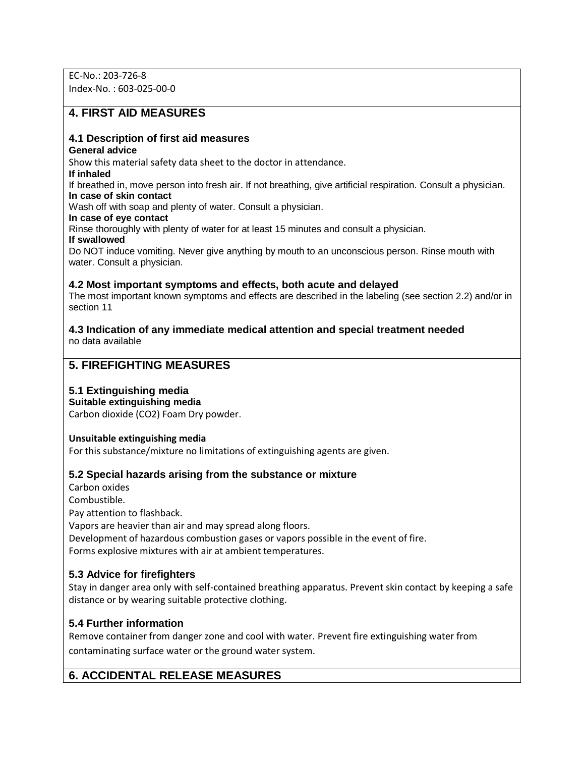EC-No.: 203-726-8 Index-No. : 603-025-00-0

# **4. FIRST AID MEASURES**

#### **4.1 Description of first aid measures**

#### **General advice**

Show this material safety data sheet to the doctor in attendance.

#### **If inhaled**

If breathed in, move person into fresh air. If not breathing, give artificial respiration. Consult a physician. **In case of skin contact**

Wash off with soap and plenty of water. Consult a physician.

**In case of eye contact**

Rinse thoroughly with plenty of water for at least 15 minutes and consult a physician.

**If swallowed**

Do NOT induce vomiting. Never give anything by mouth to an unconscious person. Rinse mouth with water. Consult a physician.

#### **4.2 Most important symptoms and effects, both acute and delayed**

The most important known symptoms and effects are described in the labeling (see section 2.2) and/or in section 11

#### **4.3 Indication of any immediate medical attention and special treatment needed** no data available

# **5. FIREFIGHTING MEASURES**

## **5.1 Extinguishing media**

**Suitable extinguishing media**

Carbon dioxide (CO2) Foam Dry powder.

#### **Unsuitable extinguishing media**

For this substance/mixture no limitations of extinguishing agents are given.

## **5.2 Special hazards arising from the substance or mixture**

Carbon oxides Combustible. Pay attention to flashback. Vapors are heavier than air and may spread along floors. Development of hazardous combustion gases or vapors possible in the event of fire. Forms explosive mixtures with air at ambient temperatures.

## **5.3 Advice for firefighters**

Stay in danger area only with self-contained breathing apparatus. Prevent skin contact by keeping a safe distance or by wearing suitable protective clothing.

## **5.4 Further information**

Remove container from danger zone and cool with water. Prevent fire extinguishing water from contaminating surface water or the ground water system.

# **6. ACCIDENTAL RELEASE MEASURES**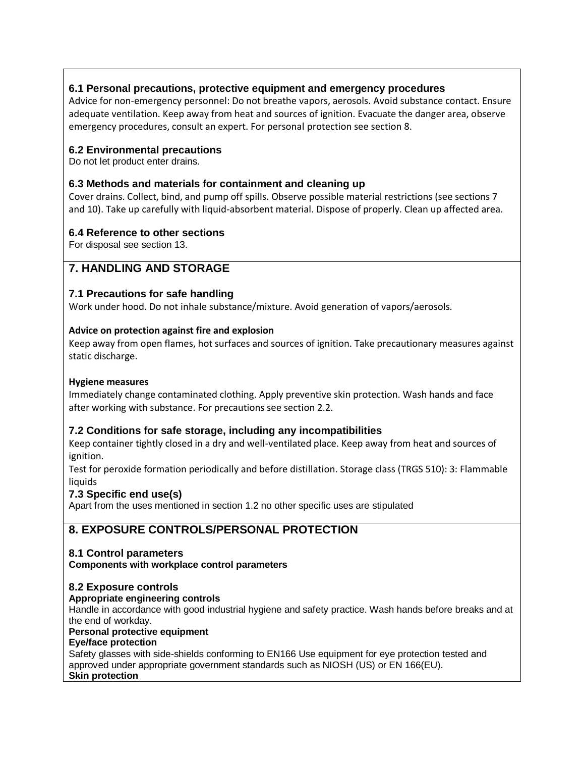## **6.1 Personal precautions, protective equipment and emergency procedures**

Advice for non-emergency personnel: Do not breathe vapors, aerosols. Avoid substance contact. Ensure adequate ventilation. Keep away from heat and sources of ignition. Evacuate the danger area, observe emergency procedures, consult an expert. For personal protection see section 8.

## **6.2 Environmental precautions**

Do not let product enter drains.

## **6.3 Methods and materials for containment and cleaning up**

Cover drains. Collect, bind, and pump off spills. Observe possible material restrictions (see sections 7 and 10). Take up carefully with liquid-absorbent material. Dispose of properly. Clean up affected area.

## **6.4 Reference to other sections**

For disposal see section 13.

# **7. HANDLING AND STORAGE**

## **7.1 Precautions for safe handling**

Work under hood. Do not inhale substance/mixture. Avoid generation of vapors/aerosols.

## **Advice on protection against fire and explosion**

Keep away from open flames, hot surfaces and sources of ignition. Take precautionary measures against static discharge.

#### **Hygiene measures**

Immediately change contaminated clothing. Apply preventive skin protection. Wash hands and face after working with substance. For precautions see section 2.2.

## **7.2 Conditions for safe storage, including any incompatibilities**

Keep container tightly closed in a dry and well-ventilated place. Keep away from heat and sources of ignition.

Test for peroxide formation periodically and before distillation. Storage class (TRGS 510): 3: Flammable liquids

## **7.3 Specific end use(s)**

Apart from the uses mentioned in section 1.2 no other specific uses are stipulated

# **8. EXPOSURE CONTROLS/PERSONAL PROTECTION**

## **8.1 Control parameters**

**Components with workplace control parameters**

## **8.2 Exposure controls**

## **Appropriate engineering controls**

Handle in accordance with good industrial hygiene and safety practice. Wash hands before breaks and at the end of workday.

#### **Personal protective equipment**

**Eye/face protection**

Safety glasses with side-shields conforming to EN166 Use equipment for eye protection tested and approved under appropriate government standards such as NIOSH (US) or EN 166(EU). **Skin protection**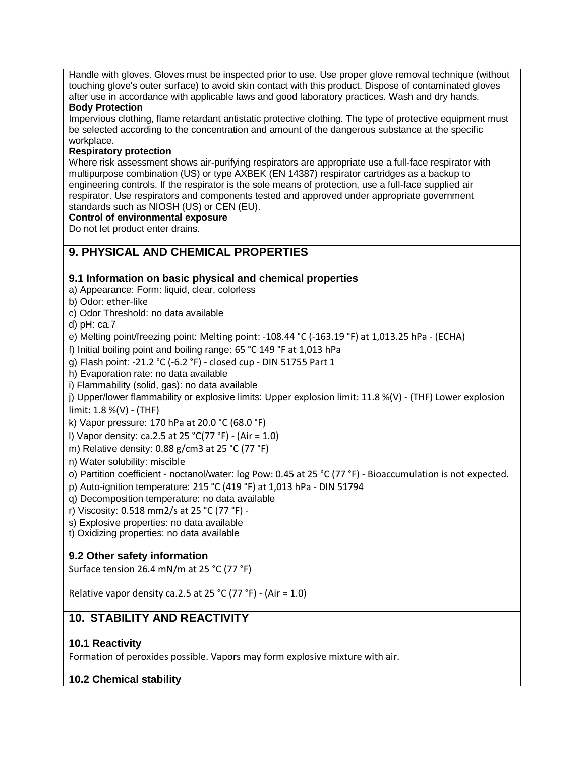Handle with gloves. Gloves must be inspected prior to use. Use proper glove removal technique (without touching glove's outer surface) to avoid skin contact with this product. Dispose of contaminated gloves after use in accordance with applicable laws and good laboratory practices. Wash and dry hands. **Body Protection**

Impervious clothing, flame retardant antistatic protective clothing. The type of protective equipment must be selected according to the concentration and amount of the dangerous substance at the specific workplace.

#### **Respiratory protection**

Where risk assessment shows air-purifying respirators are appropriate use a full-face respirator with multipurpose combination (US) or type AXBEK (EN 14387) respirator cartridges as a backup to engineering controls. If the respirator is the sole means of protection, use a full-face supplied air respirator. Use respirators and components tested and approved under appropriate government standards such as NIOSH (US) or CEN (EU).

#### **Control of environmental exposure**

Do not let product enter drains.

# **9. PHYSICAL AND CHEMICAL PROPERTIES**

## **9.1 Information on basic physical and chemical properties**

a) Appearance: Form: liquid, clear, colorless

b) Odor: ether-like

c) Odor Threshold: no data available

d) pH: ca.7

e) Melting point/freezing point: Melting point: -108.44 °C (-163.19 °F) at 1,013.25 hPa - (ECHA)

f) Initial boiling point and boiling range: 65 °C 149 °F at 1,013 hPa

g) Flash point: -21.2 °C (-6.2 °F) - closed cup - DIN 51755 Part 1

h) Evaporation rate: no data available

i) Flammability (solid, gas): no data available

j) Upper/lower flammability or explosive limits: Upper explosion limit: 11.8 %(V) - (THF) Lower explosion limit: 1.8 %(V) - (THF)

k) Vapor pressure: 170 hPa at 20.0 °C (68.0 °F)

l) Vapor density: ca.2.5 at 25  $°C(77 °F) - (Air = 1.0)$ 

m) Relative density: 0.88 g/cm3 at 25 °C (77 °F)

n) Water solubility: miscible

o) Partition coefficient - noctanol/water: log Pow: 0.45 at 25 °C (77 °F) - Bioaccumulation is not expected.

p) Auto-ignition temperature: 215 °C (419 °F) at 1,013 hPa - DIN 51794

q) Decomposition temperature: no data available

r) Viscosity: 0.518 mm2/s at 25 °C (77 °F) -

s) Explosive properties: no data available

t) Oxidizing properties: no data available

## **9.2 Other safety information**

Surface tension 26.4 mN/m at 25 °C (77 °F)

Relative vapor density ca.2.5 at 25 °C (77 °F) - (Air = 1.0)

# **10. STABILITY AND REACTIVITY**

# **10.1 Reactivity**

Formation of peroxides possible. Vapors may form explosive mixture with air.

# **10.2 Chemical stability**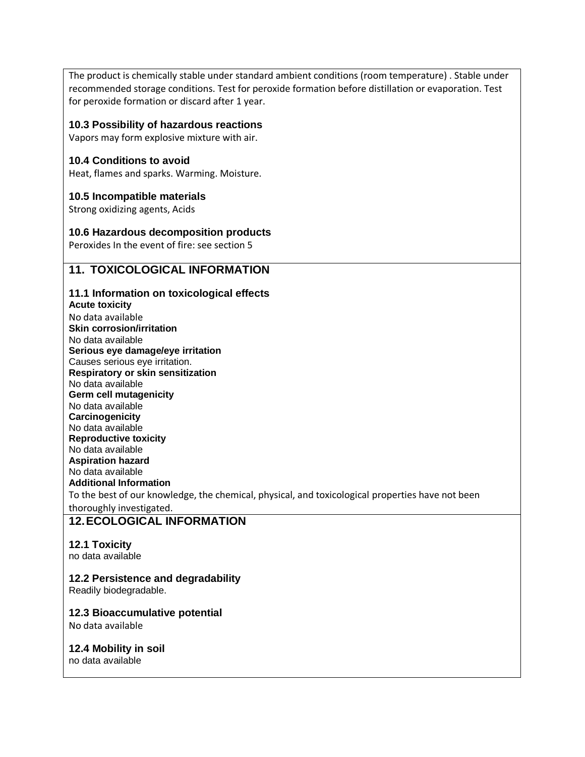The product is chemically stable under standard ambient conditions (room temperature) . Stable under recommended storage conditions. Test for peroxide formation before distillation or evaporation. Test for peroxide formation or discard after 1 year.

#### **10.3 Possibility of hazardous reactions**

Vapors may form explosive mixture with air.

#### **10.4 Conditions to avoid**

Heat, flames and sparks. Warming. Moisture.

#### **10.5 Incompatible materials**

Strong oxidizing agents, Acids

## **10.6 Hazardous decomposition products**

Peroxides In the event of fire: see section 5

# **11. TOXICOLOGICAL INFORMATION**

## **11.1 Information on toxicological effects**

**Acute toxicity** No data available **Skin corrosion/irritation** No data available **Serious eye damage/eye irritation** Causes serious eye irritation. **Respiratory or skin sensitization** No data available **Germ cell mutagenicity** No data available **Carcinogenicity** No data available **Reproductive toxicity** No data available **Aspiration hazard** No data available **Additional Information** To the best of our knowledge, the chemical, physical, and toxicological properties have not been thoroughly investigated.

# **12.ECOLOGICAL INFORMATION**

# **12.1 Toxicity**

no data available

## **12.2 Persistence and degradability**

Readily biodegradable.

## **12.3 Bioaccumulative potential**

No data available

## **12.4 Mobility in soil**

no data available